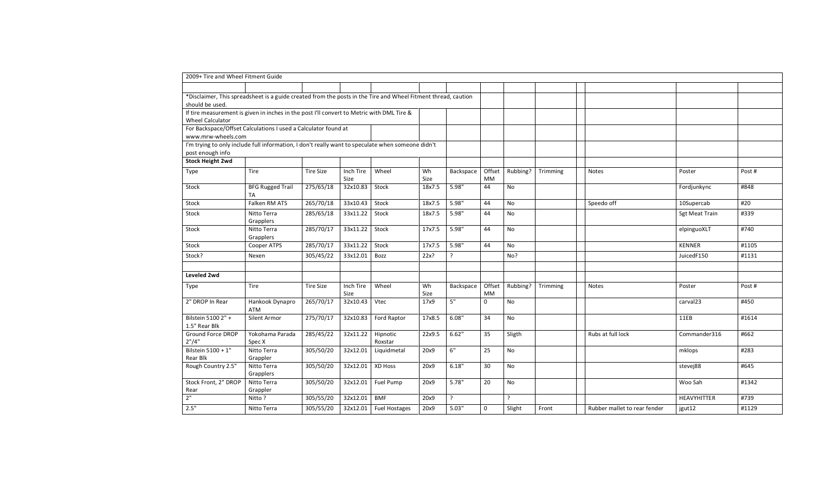| 2009+ Tire and Wheel Fitment Guide                                                                            |                               |                  |                   |                      |            |           |              |           |          |                              |                |        |
|---------------------------------------------------------------------------------------------------------------|-------------------------------|------------------|-------------------|----------------------|------------|-----------|--------------|-----------|----------|------------------------------|----------------|--------|
|                                                                                                               |                               |                  |                   |                      |            |           |              |           |          |                              |                |        |
| *Disclaimer, This spreadsheet is a guide created from the posts in the Tire and Wheel Fitment thread, caution |                               |                  |                   |                      |            |           |              |           |          |                              |                |        |
| should be used.                                                                                               |                               |                  |                   |                      |            |           |              |           |          |                              |                |        |
| If tire measurement is given in inches in the post I'll convert to Metric with DML Tire &                     |                               |                  |                   |                      |            |           |              |           |          |                              |                |        |
| <b>Wheel Calculator</b><br>For Backspace/Offset Calculations I used a Calculator found at                     |                               |                  |                   |                      |            |           |              |           |          |                              |                |        |
| www.mrw-wheels.com                                                                                            |                               |                  |                   |                      |            |           |              |           |          |                              |                |        |
| I'm trying to only include full information, I don't really want to speculate when someone didn't             |                               |                  |                   |                      |            |           |              |           |          |                              |                |        |
| post enough info                                                                                              |                               |                  |                   |                      |            |           |              |           |          |                              |                |        |
| <b>Stock Height 2wd</b>                                                                                       |                               |                  |                   |                      |            |           |              |           |          |                              |                |        |
| Type                                                                                                          | Tire                          | <b>Tire Size</b> | Inch Tire<br>Size | Wheel                | Wh<br>Size | Backspace | Offset<br>MM | Rubbing?  | Trimming | Notes                        | Poster         | Post # |
| Stock                                                                                                         | <b>BFG Rugged Trail</b>       | 275/65/18        | 32x10.83          | Stock                | 18x7.5     | 5.98"     | 44           | No        |          |                              | Fordjunkync    | #848   |
|                                                                                                               | TA                            |                  |                   |                      |            |           |              |           |          |                              |                |        |
| Stock                                                                                                         | Falken RM ATS                 | 265/70/18        | 33x10.43          | Stock                | 18x7.5     | 5.98"     | 44           | No        |          | Speedo off                   | 10Supercab     | #20    |
| Stock                                                                                                         | Nitto Terra<br>Grapplers      | 285/65/18        | 33x11.22          | Stock                | 18x7.5     | 5.98"     | 44           | <b>No</b> |          |                              | Sgt Meat Train | #339   |
| Stock                                                                                                         | Nitto Terra<br>Grapplers      | 285/70/17        | 33x11.22          | Stock                | 17x7.5     | 5.98"     | 44           | No        |          |                              | elpinguoXLT    | #740   |
| Stock                                                                                                         | Cooper ATPS                   | 285/70/17        | 33x11.22          | Stock                | 17x7.5     | 5.98"     | 44           | No        |          |                              | <b>KENNER</b>  | #1105  |
| Stock?                                                                                                        | Nexen                         | 305/45/22        | 33x12.01          | Bozz                 | 22x?       | ?         |              | No?       |          |                              | JuicedF150     | #1131  |
|                                                                                                               |                               |                  |                   |                      |            |           |              |           |          |                              |                |        |
| Leveled 2wd                                                                                                   |                               |                  |                   |                      |            |           |              |           |          |                              |                |        |
| Type                                                                                                          | <b>Tire</b>                   | <b>Tire Size</b> | Inch Tire<br>Size | Wheel                | Wh<br>Size | Backspace | Offset<br>MM | Rubbing?  | Trimming | Notes                        | Poster         | Post # |
| 2" DROP In Rear                                                                                               | Hankook Dynapro<br><b>ATM</b> | 265/70/17        | 32x10.43          | Vtec                 | 17x9       | 5"        | $\mathbf{0}$ | No        |          |                              | carval23       | #450   |
| Bilstein 5100 2" +<br>1.5" Rear Blk                                                                           | Silent Armor                  | 275/70/17        | 32x10.83          | Ford Raptor          | 17x8.5     | 6.08"     | 34           | No        |          |                              | 11EB           | #1614  |
| Ground Force DROP<br>2" / 4"                                                                                  | Yokohama Parada<br>Spec X     | 285/45/22        | 32x11.22          | Hipnotic<br>Roxstar  | 22x9.5     | 6.62"     | 35           | Sligth    |          | Rubs at full lock            | Commander316   | #662   |
| Bilstein 5100 + 1"<br>Rear Blk                                                                                | Nitto Terra<br>Grappler       | 305/50/20        | 32x12.01          | Liquidmetal          | 20x9       | 6"        | 25           | No        |          |                              | mklops         | #283   |
| Rough Country 2.5"                                                                                            | Nitto Terra<br>Grapplers      | 305/50/20        | 32x12.01          | XD Hoss              | 20x9       | 6.18"     | 30           | No        |          |                              | stevej88       | #645   |
| Stock Front, 2" DROP                                                                                          | Nitto Terra                   | 305/50/20        | 32x12.01          | Fuel Pump            | 20x9       | 5.78"     | 20           | No        |          |                              | Woo Sah        | #1342  |
| Rear                                                                                                          | Grappler                      |                  |                   |                      |            |           |              |           |          |                              |                |        |
| 2"                                                                                                            | Nitto?                        | 305/55/20        | 32x12.01          | <b>BMF</b>           | 20x9       | ?         |              | $\cdot$   |          |                              | HEAVYHITTER    | #739   |
| 2.5"                                                                                                          | Nitto Terra                   | 305/55/20        | 32x12.01          | <b>Fuel Hostages</b> | 20x9       | 5.03"     | $\mathbf 0$  | Slight    | Front    | Rubber mallet to rear fender | jgut12         | #1129  |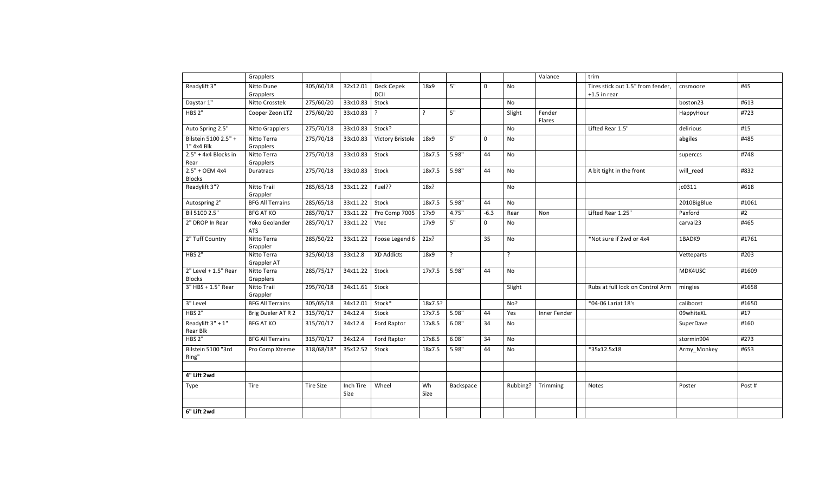|                                         | Grapplers                    |                  |                   |                    |            |           |              |           | Valance          | trim                                                |                  |        |
|-----------------------------------------|------------------------------|------------------|-------------------|--------------------|------------|-----------|--------------|-----------|------------------|-----------------------------------------------------|------------------|--------|
| Readylift 3"                            | Nitto Dune<br>Grapplers      | 305/60/18        | 32x12.01          | Deck Cepek<br>DCII | 18x9       | 5"        | $\mathbf{0}$ | <b>No</b> |                  | Tires stick out 1.5" from fender.<br>$+1.5$ in rear | cnsmoore         | #45    |
| Daystar 1"                              | Nitto Crosstek               | 275/60/20        | 33x10.83          | Stock              |            |           |              | No        |                  |                                                     | boston23         | #613   |
| HBS <sub>2"</sub>                       | Cooper Zeon LTZ              | 275/60/20        | 33x10.83          | $\cdot$            | $\cdot$    | 5"        |              | Slight    | Fender<br>Flares |                                                     | HappyHour        | #723   |
| Auto Spring 2.5"                        | Nitto Grapplers              | 275/70/18        | 33x10.83          | Stock?             |            |           |              | <b>No</b> |                  | Lifted Rear 1.5"                                    | delirious        | #15    |
| Bilstein 5100 2.5" +<br>1" 4x4 Blk      | Nitto Terra<br>Grapplers     | 275/70/18        | 33x10.83          | Victory Bristole   | 18x9       | 5"        | $\mathbf{0}$ | No        |                  |                                                     | abgiles          | #485   |
| $2.5" + 4x4$ Blocks in<br>Rear          | Nitto Terra<br>Grapplers     | 275/70/18        | 33x10.83          | Stock              | 18x7.5     | 5.98"     | 44           | No        |                  |                                                     | superccs         | #748   |
| $2.5" + OEM 4x4$<br><b>Blocks</b>       | Duratracs                    | 275/70/18        | 33x10.83          | Stock              | 18x7.5     | 5.98"     | 44           | No        |                  | A bit tight in the front                            | will_reed        | #832   |
| Readylift 3"?                           | Nitto Trail<br>Grappler      | 285/65/18        | 33x11.22          | Fuel??             | $18x$ ?    |           |              | <b>No</b> |                  |                                                     | jc0311           | #618   |
| Autospring 2"                           | <b>BFG All Terrains</b>      | 285/65/18        | 33x11.22          | Stock              | 18x7.5     | 5.98"     | 44           | No        |                  |                                                     | 2010BigBlue      | #1061  |
| Bil 5100 2.5"                           | <b>BFG AT KO</b>             | 285/70/17        | 33x11.22          | Pro Comp 7005      | 17x9       | 4.75"     | $-6.3$       | Rear      | Non              | Lifted Rear 1.25"                                   | Paxford          | #2     |
| 2" DROP In Rear                         | Yoko Geolander<br><b>ATS</b> | 285/70/17        | 33x11.22          | Vtec               | 17x9       | 5"        | $\mathbf{0}$ | No        |                  |                                                     | carval23         | #465   |
| 2" Tuff Country                         | Nitto Terra<br>Grappler      | 285/50/22        | 33x11.22          | Foose Legend 6     | 22x?       |           | 35           | <b>No</b> |                  | *Not sure if 2wd or 4x4                             | 1BADK9           | #1761  |
| HBS <sub>2"</sub>                       | Nitto Terra<br>Grappler AT   | 325/60/18        | 33x12.8           | XD Addicts         | 18x9       | ?         |              | $\cdot$   |                  |                                                     | Vetteparts       | #203   |
| $2"$ Level + 1.5" Rear<br><b>Blocks</b> | Nitto Terra<br>Grapplers     | 285/75/17        | 34x11.22          | Stock              | 17x7.5     | 5.98"     | 44           | No        |                  |                                                     | MDK4USC          | #1609  |
| 3" HBS + 1.5" Rear                      | Nitto Trail<br>Grappler      | 295/70/18        | 34x11.61          | Stock              |            |           |              | Slight    |                  | Rubs at full lock on Control Arm                    | mingles          | #1658  |
| 3" Level                                | <b>BFG All Terrains</b>      | 305/65/18        | 34x12.01          | Stock*             | 18x7.5?    |           |              | No?       |                  | *04-06 Lariat 18's                                  | caliboost        | #1650  |
| <b>HBS 2"</b>                           | Brig Dueler AT R 2           | 315/70/17        | 34x12.4           | Stock              | 17x7.5     | 5.98"     | 44           | Yes       | Inner Fender     |                                                     | 09whiteXL        | #17    |
| Readylift 3" + 1"<br>Rear Blk           | <b>BFG AT KO</b>             | 315/70/17        | 34x12.4           | Ford Raptor        | 17x8.5     | 6.08"     | 34           | No        |                  |                                                     | <b>SuperDave</b> | #160   |
| HBS <sub>2"</sub>                       | <b>BFG All Terrains</b>      | 315/70/17        | 34x12.4           | Ford Raptor        | 17x8.5     | 6.08"     | 34           | No        |                  |                                                     | stormin904       | #273   |
| Bilstein 5100 "3rd<br>Ring"             | Pro Comp Xtreme              | 318/68/18*       | 35x12.52          | Stock              | 18x7.5     | 5.98"     | 44           | No        |                  | *35x12.5x18                                         | Army Monkey      | #653   |
| 4" Lift 2wd                             |                              |                  |                   |                    |            |           |              |           |                  |                                                     |                  |        |
| Type                                    | <b>Tire</b>                  | <b>Tire Size</b> | Inch Tire<br>Size | Wheel              | Wh<br>Size | Backspace |              | Rubbing?  | Trimming         | Notes                                               | Poster           | Post # |
| 6" Lift 2wd                             |                              |                  |                   |                    |            |           |              |           |                  |                                                     |                  |        |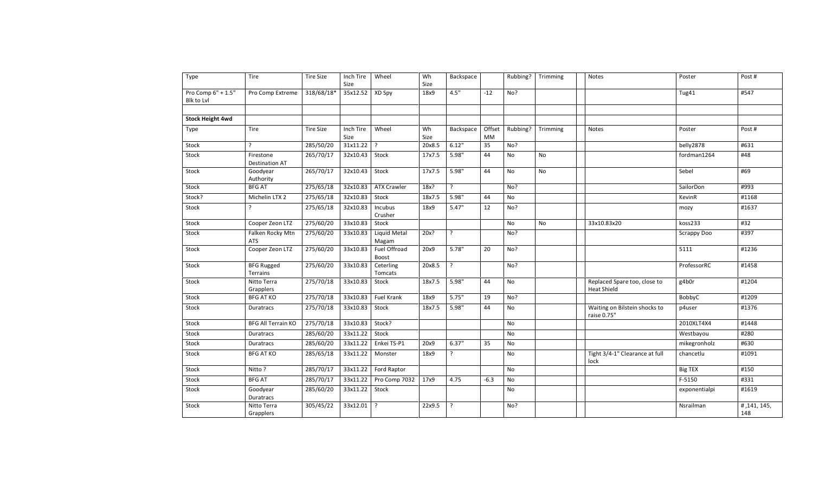| Type                    | Tire                                 | <b>Tire Size</b> | Inch Tire         | Wheel                 | Wh         | Backspace      |              | Rubbing? | Trimming  | Notes                                              | Poster         | Post#             |
|-------------------------|--------------------------------------|------------------|-------------------|-----------------------|------------|----------------|--------------|----------|-----------|----------------------------------------------------|----------------|-------------------|
|                         |                                      |                  | Size              |                       | Size       |                |              |          |           |                                                    |                |                   |
| Pro Comp 6" + 1.5"      | Pro Comp Extreme                     | 318/68/18*       | 35x12.52          | XD Spy                | 18x9       | 4.5"           | $-12$        | No?      |           |                                                    | Tug41          | #547              |
| Blk to Lvl              |                                      |                  |                   |                       |            |                |              |          |           |                                                    |                |                   |
|                         |                                      |                  |                   |                       |            |                |              |          |           |                                                    |                |                   |
| <b>Stock Height 4wd</b> |                                      |                  |                   |                       |            |                |              |          |           |                                                    |                |                   |
| Type                    | Tire                                 | <b>Tire Size</b> | Inch Tire<br>Size | Wheel                 | Wh<br>Size | Backspace      | Offset<br>МM | Rubbing? | Trimming  | <b>Notes</b>                                       | Poster         | Post #            |
| Stock                   | ?                                    | 285/50/20        | 31x11.22          | $\cdot$               | 20x8.5     | 6.12"          | 35           | No?      |           |                                                    | belly2878      | #631              |
| Stock                   | Firestone<br><b>Destination AT</b>   | 265/70/17        | 32x10.43          | Stock                 | 17x7.5     | 5.98"          | 44           | No       | <b>No</b> |                                                    | fordman1264    | #48               |
| Stock                   | Goodyear<br>Authority                | 265/70/17        | 32x10.43          | Stock                 | 17x7.5     | 5.98"          | 44           | No       | <b>No</b> |                                                    | Sebel          | #69               |
| Stock                   | <b>BFG AT</b>                        | 275/65/18        | 32x10.83          | <b>ATX Crawler</b>    | 18x?       | ?              |              | No?      |           |                                                    | SailorDon      | #993              |
| Stock?                  | Michelin LTX 2                       | 275/65/18        | 32x10.83          | Stock                 | 18x7.5     | 5.98"          | 44           | No       |           |                                                    | KevinR         | #1168             |
| Stock                   | ?                                    | 275/65/18        | 32x10.83          | Incubus<br>Crusher    | 18x9       | 5.47"          | 12           | No?      |           |                                                    | mozy           | #1637             |
| Stock                   | Cooper Zeon LTZ                      | 275/60/20        | 33x10.83          | Stock                 |            |                |              | No       | No        | 33x10.83x20                                        | koss233        | #32               |
| Stock                   | Falken Rocky Mtn<br><b>ATS</b>       | 275/60/20        | 33x10.83          | Liquid Metal<br>Magam | 20x?       | $\overline{?}$ |              | No?      |           |                                                    | Scrappy Doo    | #397              |
| Stock                   | Cooper Zeon LTZ                      | 275/60/20        | 33x10.83          | Fuel Offroad<br>Boost | 20x9       | 5.78"          | 20           | No?      |           |                                                    | 5111           | #1236             |
| Stock                   | <b>BFG Rugged</b><br><b>Terrains</b> | 275/60/20        | 33x10.83          | Ceterling<br>Tomcats  | 20x8.5     | $\cdot$        |              | No?      |           |                                                    | ProfessorRC    | #1458             |
| Stock                   | Nitto Terra<br>Grapplers             | 275/70/18        | 33x10.83          | Stock                 | 18x7.5     | 5.98"          | 44           | No       |           | Replaced Spare too, close to<br><b>Heat Shield</b> | g4b0r          | #1204             |
| Stock                   | <b>BFG AT KO</b>                     | 275/70/18        | 33x10.83          | Fuel Krank            | 18x9       | 5.75"          | 19           | No?      |           |                                                    | BobbyC         | #1209             |
| Stock                   | Duratracs                            | 275/70/18        | 33x10.83          | Stock                 | 18x7.5     | 5.98"          | 44           | No       |           | Waiting on Bilstein shocks to<br>raise 0.75"       | p4user         | #1376             |
| Stock                   | <b>BFG All Terrain KO</b>            | 275/70/18        | 33x10.83          | Stock?                |            |                |              | No       |           |                                                    | 2010XLT4X4     | #1448             |
| Stock                   | Duratracs                            | 285/60/20        | 33x11.22          | Stock                 |            |                |              | No       |           |                                                    | Westbayou      | #280              |
| Stock                   | Duratracs                            | 285/60/20        | 33x11.22          | Enkei TS-P1           | 20x9       | 6.37"          | 35           | No       |           |                                                    | mikegronholz   | #630              |
| Stock                   | <b>BFG AT KO</b>                     | 285/65/18        | 33x11.22          | Monster               | 18x9       | ?              |              | No       |           | Tight 3/4-1" Clearance at full<br>lock             | chancetlu      | #1091             |
| Stock                   | Nitto ?                              | 285/70/17        | 33x11.22          | Ford Raptor           |            |                |              | No       |           |                                                    | <b>Big TEX</b> | #150              |
| Stock                   | <b>BFG AT</b>                        | 285/70/17        | 33x11.22          | Pro Comp 7032         | 17x9       | 4.75           | $-6.3$       | No       |           |                                                    | F-5150         | #331              |
| Stock                   | Goodyear<br>Duratracs                | 285/60/20        | 33x11.22          | Stock                 |            |                |              | No       |           |                                                    | exponentialpi  | #1619             |
| Stock                   | Nitto Terra<br>Grapplers             | 305/45/22        | 33x12.01          | $\cdot$               | 22x9.5     | ?              |              | No?      |           |                                                    | Nsrailman      | #,141,145,<br>148 |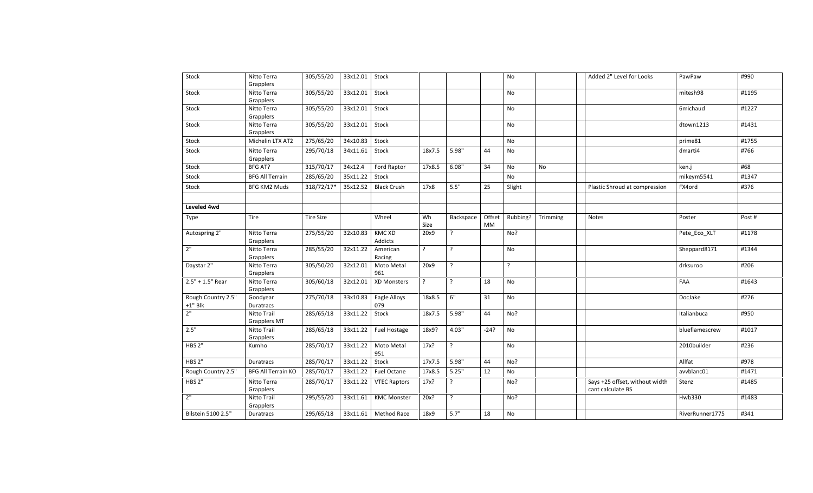| Stock                                  | Nitto Terra<br>Grapplers           | 305/55/20        | 33x12.01 Stock |                          |            |                |              | No        |                   | Added 2" Level for Looks                            | PawPaw          | #990   |
|----------------------------------------|------------------------------------|------------------|----------------|--------------------------|------------|----------------|--------------|-----------|-------------------|-----------------------------------------------------|-----------------|--------|
| Stock                                  | Nitto Terra<br>Grapplers           | 305/55/20        | 33x12.01       | Stock                    |            |                |              | No        |                   |                                                     | mitesh98        | #1195  |
| Stock                                  | Nitto Terra<br>Grapplers           | 305/55/20        | 33x12.01       | Stock                    |            |                |              | No        |                   |                                                     | 6michaud        | #1227  |
| Stock                                  | Nitto Terra<br>Grapplers           | 305/55/20        | 33x12.01       | Stock                    |            |                |              | <b>No</b> |                   |                                                     | dtown1213       | #1431  |
| Stock                                  | Michelin LTX AT2                   | 275/65/20        | 34x10.83       | Stock                    |            |                |              | No        |                   |                                                     | prime81         | #1755  |
| Stock                                  | Nitto Terra<br>Grapplers           | 295/70/18        | 34x11.61       | Stock                    | 18x7.5     | 5.98"          | 44           | No        |                   |                                                     | dmarti4         | #766   |
| Stock                                  | BFG AT?                            | 315/70/17        | 34x12.4        | Ford Raptor              | 17x8.5     | 6.08"          | 34           | No        | <b>No</b>         |                                                     | ken.j           | #68    |
| Stock                                  | <b>BFG All Terrain</b>             | 285/65/20        | 35x11.22       | Stock                    |            |                |              | <b>No</b> |                   |                                                     | mikeym5541      | #1347  |
| Stock                                  | <b>BFG KM2 Muds</b>                | 318/72/17*       | 35x12.52       | <b>Black Crush</b>       | 17x8       | 5.5"           | 25           | Slight    |                   | Plastic Shroud at compression                       | FX4ord          | #376   |
| Leveled 4wd                            |                                    |                  |                |                          |            |                |              |           |                   |                                                     |                 |        |
| Type                                   | Tire                               | <b>Tire Size</b> |                | Wheel                    | Wh<br>Size | Backspace      | Offset<br>MM |           | Rubbing? Trimming | Notes                                               | Poster          | Post # |
| Autospring 2"                          | Nitto Terra<br>Grapplers           | 275/55/20        | 32x10.83       | <b>KMC XD</b><br>Addicts | 20x9       | ?              |              | No?       |                   |                                                     | Pete_Eco_XLT    | #1178  |
| $2"$                                   | Nitto Terra<br>Grapplers           | 285/55/20        | 32x11.22       | American<br>Racing       | ?          | $\cdot$        |              | No        |                   |                                                     | Sheppard8171    | #1344  |
| Daystar 2"                             | Nitto Terra<br>Grapplers           | 305/50/20        | 32x12.01       | Moto Metal<br>961        | 20x9       | $\cdot$        |              | $\cdot$   |                   |                                                     | drksuroo        | #206   |
| $2.5" + 1.5"$ Rear                     | Nitto Terra<br>Grapplers           | 305/60/18        | 32x12.01       | XD Monsters              | ?          | ?              | 18           | No        |                   |                                                     | FAA             | #1643  |
| Rough Country 2.5"<br>$+1^{\rm u}$ Blk | Goodyear<br><b>Duratracs</b>       | 275/70/18        | 33x10.83       | Eagle Alloys<br>079      | 18x8.5     | $6"$           | 31           | No        |                   |                                                     | DocJake         | #276   |
| 2"                                     | Nitto Trail<br><b>Grapplers MT</b> | 285/65/18        | 33x11.22       | Stock                    | 18x7.5     | 5.98"          | 44           | No?       |                   |                                                     | Italianbuca     | #950   |
| 2.5"                                   | Nitto Trail<br>Grapplers           | 285/65/18        | 33x11.22       | Fuel Hostage             | 18x9?      | 4.03"          | -24?         | No        |                   |                                                     | blueflamescrew  | #1017  |
| HBS 2"                                 | Kumho                              | 285/70/17        | 33x11.22       | Moto Metal<br>951        | 17x?       | $\ddot{\cdot}$ |              | No        |                   |                                                     | 2010builder     | #236   |
| HBS <sub>2"</sub>                      | <b>Duratracs</b>                   | 285/70/17        | 33x11.22       | Stock                    | 17x7.5     | 5.98"          | 44           | No?       |                   |                                                     | Allfat          | #978   |
| Rough Country 2.5"                     | <b>BFG All Terrain KO</b>          | 285/70/17        | 33x11.22       | Fuel Octane              | 17x8.5     | 5.25"          | 12           | No        |                   |                                                     | avvblanc01      | #1471  |
| HBS <sub>2"</sub>                      | Nitto Terra<br>Grapplers           | 285/70/17        | 33x11.22       | <b>VTEC Raptors</b>      | 17x?       | ?              |              | No?       |                   | Says +25 offset, without width<br>cant calculate BS | Stenz           | #1485  |
| 2"                                     | Nitto Trail<br>Grapplers           | 295/55/20        | 33x11.61       | <b>KMC Monster</b>       | $20x$ ?    | ?              |              | No?       |                   |                                                     | Hwb330          | #1483  |
| Bilstein 5100 2.5"                     | Duratracs                          | 295/65/18        |                | 33x11.61 Method Race     | 18x9       | 5.7"           | 18           | No        |                   |                                                     | RiverRunner1775 | #341   |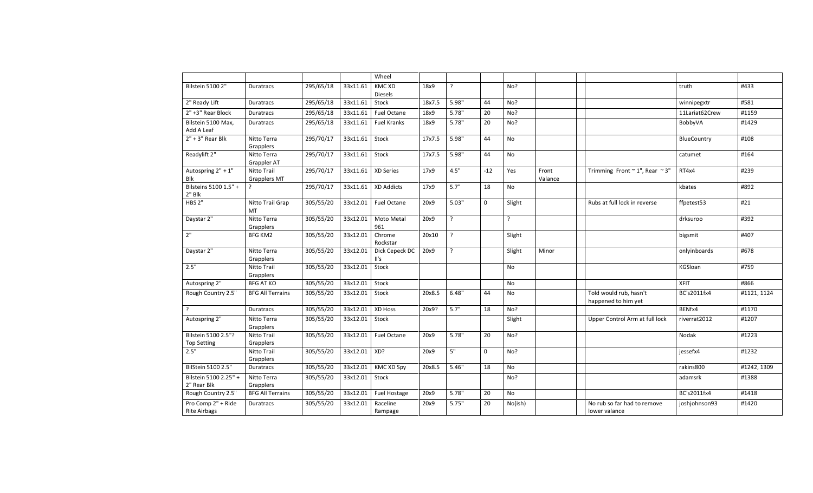|                                           |                                    |           |          | Wheel                           |        |             |              |           |                  |                                               |                |             |
|-------------------------------------------|------------------------------------|-----------|----------|---------------------------------|--------|-------------|--------------|-----------|------------------|-----------------------------------------------|----------------|-------------|
| <b>Bilstein 5100 2"</b>                   | <b>Duratracs</b>                   | 295/65/18 | 33x11.61 | <b>KMC XD</b><br><b>Diesels</b> | 18x9   | $\tilde{f}$ |              | No?       |                  |                                               | truth          | #433        |
| 2" Ready Lift                             | <b>Duratracs</b>                   | 295/65/18 | 33x11.61 | Stock                           | 18x7.5 | 5.98"       | 44           | No?       |                  |                                               | winnipegxtr    | #581        |
| 2" +3" Rear Block                         | Duratracs                          | 295/65/18 | 33x11.61 | Fuel Octane                     | 18x9   | 5.78"       | 20           | No?       |                  |                                               | 11Lariat62Crew | #1159       |
| Bilstein 5100 Max,<br>Add A Leaf          | Duratracs                          | 295/65/18 | 33x11.61 | Fuel Kranks                     | 18x9   | 5.78"       | 20           | No?       |                  |                                               | BobbyVA        | #1429       |
| $2" + 3"$ Rear Blk                        | Nitto Terra<br>Grapplers           | 295/70/17 | 33x11.61 | Stock                           | 17x7.5 | 5.98"       | 44           | No        |                  |                                               | BlueCountry    | #108        |
| Readylift 2"                              | Nitto Terra<br>Grappler AT         | 295/70/17 | 33x11.61 | Stock                           | 17x7.5 | 5.98"       | 44           | No        |                  |                                               | catumet        | #164        |
| Autospring 2" + 1"<br>Blk                 | Nitto Trail<br><b>Grapplers MT</b> | 295/70/17 | 33x11.61 | XD Series                       | 17x9   | 4.5"        | $-12$        | Yes       | Front<br>Valance | Trimming Front $\sim$ 1", Rear $\sim$ 3"      | RT4x4          | #239        |
| Bilsteins 5100 1.5" +<br>$2"$ Blk         | ?                                  | 295/70/17 | 33x11.61 | <b>XD Addicts</b>               | 17x9   | 5.7"        | 18           | No        |                  |                                               | kbates         | #892        |
| <b>HBS 2"</b>                             | Nitto Trail Grap<br>MT             | 305/55/20 | 33x12.01 | Fuel Octane                     | 20x9   | 5.03"       | $\mathbf{0}$ | Slight    |                  | Rubs at full lock in reverse                  | ffpetest53     | #21         |
| Daystar 2"                                | Nitto Terra<br>Grapplers           | 305/55/20 | 33x12.01 | Moto Metal<br>961               | 20x9   | $\cdot$     |              | ?         |                  |                                               | drksuroo       | #392        |
| 2"                                        | <b>BFG KM2</b>                     | 305/55/20 | 33x12.01 | Chrome<br>Rockstar              | 20x10  | $\cdot$     |              | Slight    |                  |                                               | bigsmit        | #407        |
| Daystar 2"                                | Nitto Terra<br>Grapplers           | 305/55/20 | 33x12.01 | Dick Cepeck DC<br>II's          | 20x9   | $\cdot$     |              | Slight    | Minor            |                                               | onlyinboards   | #678        |
| 2.5"                                      | Nitto Trail<br>Grapplers           | 305/55/20 | 33x12.01 | Stock                           |        |             |              | <b>No</b> |                  |                                               | KGSloan        | #759        |
| Autospring 2"                             | <b>BFG AT KO</b>                   | 305/55/20 | 33x12.01 | Stock                           |        |             |              | <b>No</b> |                  |                                               | <b>XFIT</b>    | #866        |
| Rough Country 2.5"                        | <b>BFG All Terrains</b>            | 305/55/20 | 33x12.01 | Stock                           | 20x8.5 | 6.48"       | 44           | No        |                  | Told would rub, hasn't<br>happened to him yet | BC's2011fx4    | #1121, 1124 |
| $\cdot$                                   | Duratracs                          | 305/55/20 | 33x12.01 | XD Hoss                         | 20x9?  | 5.7"        | 18           | No?       |                  |                                               | BENfx4         | #1170       |
| Autospring 2"                             | Nitto Terra<br>Grapplers           | 305/55/20 | 33x12.01 | Stock                           |        |             |              | Slight    |                  | Upper Control Arm at full lock                | riverrat2012   | #1207       |
| Bilstein 5100 2.5"?<br><b>Top Setting</b> | Nitto Trail<br>Grapplers           | 305/55/20 | 33x12.01 | Fuel Octane                     | 20x9   | 5.78"       | 20           | No?       |                  |                                               | Nodak          | #1223       |
| 2.5"                                      | Nitto Trail<br>Grapplers           | 305/55/20 | 33x12.01 | XD?                             | 20x9   | 5"          | $\Omega$     | No?       |                  |                                               | jessefx4       | #1232       |
| BilStein 5100 2.5"                        | <b>Duratracs</b>                   | 305/55/20 | 33x12.01 | <b>KMC XD Spy</b>               | 20x8.5 | 5.46"       | 18           | <b>No</b> |                  |                                               | rakins800      | #1242, 1309 |
| Bilstein 5100 2.25" +<br>2" Rear Blk      | Nitto Terra<br>Grapplers           | 305/55/20 | 33x12.01 | Stock                           |        |             |              | No?       |                  |                                               | adamsrk        | #1388       |
| Rough Country 2.5"                        | <b>BFG All Terrains</b>            | 305/55/20 | 33x12.01 | Fuel Hostage                    | 20x9   | 5.78"       | 20           | No        |                  |                                               | BC's2011fx4    | #1418       |
| Pro Comp 2" + Ride<br><b>Rite Airbags</b> | Duratracs                          | 305/55/20 | 33x12.01 | Raceline<br>Rampage             | 20x9   | 5.75"       | 20           | No(ish)   |                  | No rub so far had to remove<br>lower valance  | joshjohnson93  | #1420       |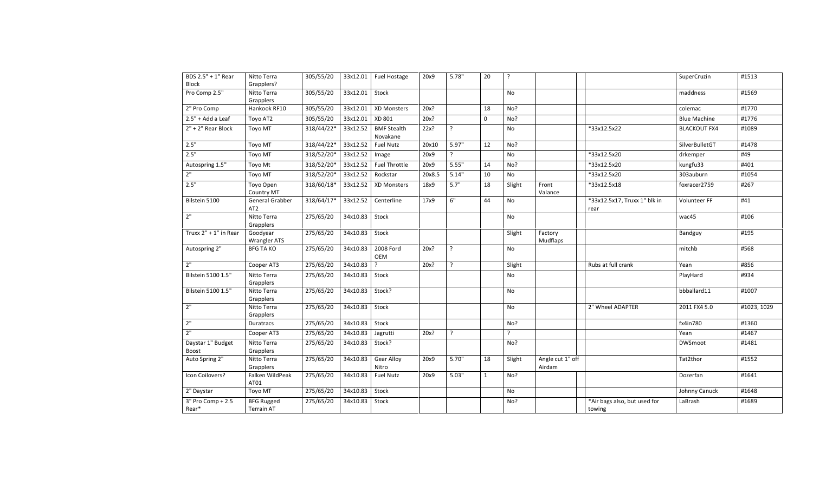| BDS 2.5" + 1" Rear<br>Block | Nitto Terra<br>Grapplers?          | 305/55/20  |          | 33x12.01 Fuel Hostage          | 20x9   | 5.78"          | 20           | $\cdot$ |                            |                                        | SuperCruzin         | #1513       |
|-----------------------------|------------------------------------|------------|----------|--------------------------------|--------|----------------|--------------|---------|----------------------------|----------------------------------------|---------------------|-------------|
| Pro Comp 2.5"               | Nitto Terra<br>Grapplers           | 305/55/20  | 33x12.01 | Stock                          |        |                |              | No      |                            |                                        | maddness            | #1569       |
| 2" Pro Comp                 | Hankook RF10                       | 305/55/20  | 33x12.01 | <b>XD Monsters</b>             | 20x?   |                | 18           | No?     |                            |                                        | colemac             | #1770       |
| $2.5" + Add a Leaf$         | Toyo AT2                           | 305/55/20  | 33x12.01 | XD 801                         | 20x?   |                | $\mathbf{0}$ | No?     |                            |                                        | <b>Blue Machine</b> | #1776       |
| $2" + 2"$ Rear Block        | Toyo MT                            | 318/44/22* | 33x12.52 | <b>BMF Stealth</b><br>Novakane | 22x?   | $\overline{?}$ |              | No      |                            | *33x12.5x22                            | <b>BLACKOUT FX4</b> | #1089       |
| 2.5"                        | Toyo MT                            | 318/44/22* | 33x12.52 | <b>Fuel Nutz</b>               | 20x10  | 5.97"          | 12           | No?     |                            |                                        | SilverBulletGT      | #1478       |
| 2.5"                        | Toyo MT                            | 318/52/20* | 33x12.52 | Image                          | 20x9   | ر.             |              | No      |                            | *33x12.5x20                            | drkemper            | #49         |
| Autospring 1.5"             | Toyo Mt                            | 318/52/20* | 33x12.52 | Fuel Throttle                  | 20x9   | 5.55"          | 14           | No?     |                            | *33x12.5x20                            | kungfu33            | #401        |
| 2 <sup>n</sup>              | Toyo MT                            | 318/52/20* | 33x12.52 | Rockstar                       | 20x8.5 | 5.14"          | 10           | No      |                            | *33x12.5x20                            | 303auburn           | #1054       |
| 2.5"                        | Toyo Open<br>Country MT            | 318/60/18* | 33x12.52 | XD Monsters                    | 18x9   | 5.7"           | 18           | Slight  | Front<br>Valance           | *33x12.5x18                            | foxracer2759        | #267        |
| Bilstein 5100               | General Grabber<br>AT <sub>2</sub> | 318/64/17* | 33x12.52 | Centerline                     | 17x9   | 6"             | 44           | No      |                            | *33x12.5x17, Truxx 1" blk in<br>rear   | Volunteer FF        | #41         |
| 2"                          | Nitto Terra<br>Grapplers           | 275/65/20  | 34x10.83 | Stock                          |        |                |              | No      |                            |                                        | wac45               | #106        |
| Truxx $2" + 1"$ in Rear     | Goodyear<br><b>Wrangler ATS</b>    | 275/65/20  | 34x10.83 | Stock                          |        |                |              | Slight  | Factory<br>Mudflaps        |                                        | Bandguy             | #195        |
| Autospring 2"               | <b>BFG TA KO</b>                   | 275/65/20  | 34x10.83 | 2008 Ford<br>OEM               | 20x?   | ?              |              | No      |                            |                                        | mitchb              | #568        |
| 2"                          | Cooper AT3                         | 275/65/20  | 34x10.83 | $\overline{?}$                 | 20x?   | ?              |              | Slight  |                            | Rubs at full crank                     | Yean                | #856        |
| Bilstein 5100 1.5"          | Nitto Terra<br>Grapplers           | 275/65/20  | 34x10.83 | Stock                          |        |                |              | No      |                            |                                        | PlayHard            | #934        |
| Bilstein 5100 1.5"          | Nitto Terra<br>Grapplers           | 275/65/20  | 34x10.83 | Stock?                         |        |                |              | No      |                            |                                        | bbballard11         | #1007       |
| 2"                          | Nitto Terra<br>Grapplers           | 275/65/20  | 34x10.83 | Stock                          |        |                |              | No      |                            | 2" Wheel ADAPTER                       | 2011 FX4 5.0        | #1023, 1029 |
| 2"                          | Duratracs                          | 275/65/20  | 34x10.83 | Stock                          |        |                |              | No?     |                            |                                        | fx4in780            | #1360       |
| 2"                          | Cooper AT3                         | 275/65/20  | 34x10.83 | Jagrutti                       | 20x?   | ?              |              | $\cdot$ |                            |                                        | Yean                | #1467       |
| Daystar 1" Budget<br>Boost  | Nitto Terra<br>Grapplers           | 275/65/20  | 34x10.83 | Stock?                         |        |                |              | No?     |                            |                                        | <b>DWSmoot</b>      | #1481       |
| Auto Spring 2"              | Nitto Terra<br>Grapplers           | 275/65/20  | 34x10.83 | <b>Gear Alloy</b><br>Nitro     | 20x9   | 5.70"          | 18           | Slight  | Angle cut 1" off<br>Airdam |                                        | Tat2thor            | #1552       |
| Icon Coilovers?             | Falken WildPeak<br>AT01            | 275/65/20  | 34x10.83 | <b>Fuel Nutz</b>               | 20x9   | 5.03"          | $\mathbf{1}$ | No?     |                            |                                        | Dozerfan            | #1641       |
| 2" Daystar                  | Toyo MT                            | 275/65/20  | 34x10.83 | Stock                          |        |                |              | No      |                            |                                        | Johnny Canuck       | #1648       |
| 3" Pro Comp + 2.5<br>Rear*  | <b>BFG Rugged</b><br>Terrain AT    | 275/65/20  | 34x10.83 | Stock                          |        |                |              | No?     |                            | *Air bags also, but used for<br>towing | LaBrash             | #1689       |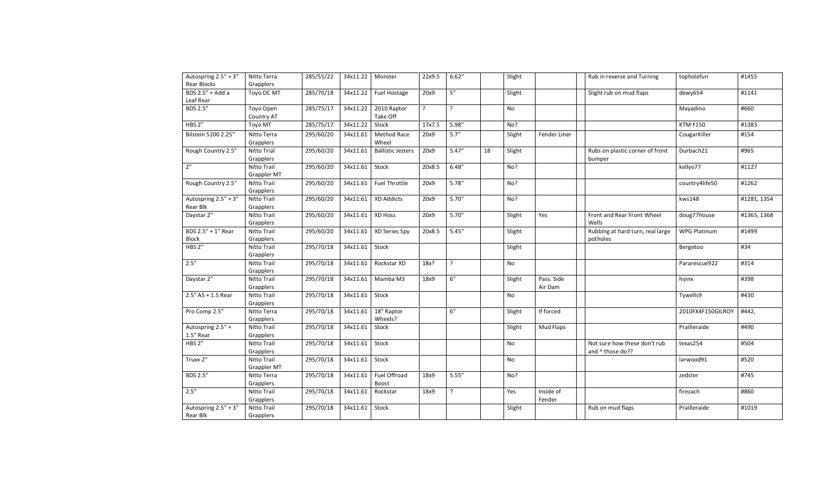| Autospring 2.5" + 3"<br><b>Rear Blocks</b> | Nitto Terra<br>Grapplers   | 285/55/22 | 34x11.22   Monster |                          | 22x9.5 | 6.62" |    | Slight |                       | Rub in reverse and Turning                       | topholefun        | #1455       |
|--------------------------------------------|----------------------------|-----------|--------------------|--------------------------|--------|-------|----|--------|-----------------------|--------------------------------------------------|-------------------|-------------|
| BDS $2.5" + Add a$<br>Leaf Rear            | Toyo OC MT                 | 285/70/18 | 34x11.22           | Fuel Hostage             | 20x9   | 5"    |    | Slight |                       | Slight rub on mud flaps                          | dewy654           | #1141       |
| <b>BDS 2.5"</b>                            | Toyo Open<br>Country AT    | 285/75/17 | 34x11.22           | 2010 Raptor<br>Take Off  | ?      | ?     |    | No     |                       |                                                  | Mayadino          | #660        |
| <b>HBS 2"</b>                              | Toyo MT                    | 285/75/17 | 34x11.22           | Stock                    | 17x7.5 | 5.98" |    | No?    |                       |                                                  | <b>KTM F150</b>   | #1383       |
| Bilstein 5100 2.25"                        | Nitto Terra<br>Grapplers   | 295/60/20 | 34x11.61           | Method Race<br>Wheel     | 20x9   | 5.7"  |    | Slight | Fender Liner          |                                                  | CougarKiller      | #154        |
| Rough Country 2.5"                         | Nitto Trial<br>Grapplers   | 295/60/20 | 34x11.61           | <b>Ballistic Jesters</b> | 20x9   | 5.47" | 18 | Slight |                       | Rubs on plastic corner of front<br>bumper        | Durbach21         | #965        |
| 2 <sup>n</sup>                             | Nitto Trail<br>Grappler MT | 295/60/20 | 34x11.61           | Stock                    | 20x8.5 | 6.48" |    | No?    |                       |                                                  | kellyo77          | #1127       |
| Rough Country 2.5"                         | Nitto Trail<br>Grapplers   | 295/60/20 | 34x11.61           | Fuel Throttle            | 20x9   | 5.78" |    | No?    |                       |                                                  | country4life50    | #1262       |
| Autospring 2.5" + 3"<br>Rear Blk           | Nitto Trail<br>Grapplers   | 295/60/20 | 34x11.61           | <b>XD Addicts</b>        | 20x9   | 5.70" |    | No?    |                       |                                                  | kws148            | #1281, 1354 |
| Daystar 2"                                 | Nitto Trail<br>Grapplers   | 295/60/20 | 34x11.61           | XD Hoss                  | 20x9   | 5.70" |    | Slight | Yes                   | Front and Rear Front Wheel<br>Wells              | doug77house       | #1365, 1368 |
| BDS 2.5" + 1" Rear<br>Block                | Nitto Trail<br>Grapplers   | 295/60/20 | 34x11.61           | XD Series Spy            | 20x8.5 | 5.45" |    | Slight |                       | Rubbing at hard turn, real large<br>potholes     | WPG Platinum      | #1499       |
| HBS <sub>2"</sub>                          | Nitto Trail<br>Grapplers   | 295/70/18 | 34x11.61 Stock     |                          |        |       |    | Slight |                       |                                                  | Bergetoo          | #34         |
| 2.5"                                       | Nitto Trail<br>Grapplers   | 295/70/18 | 34x11.61           | Rockstar XD              | 18x?   | ?     |    | No     |                       |                                                  | Pararescue922     | #314        |
| Daystar 2"                                 | Nitto Trail<br>Grapplers   | 295/70/18 | 34x11.61           | Mamba M3                 | 18x9   | 6"    |    | Slight | Pass. Side<br>Air Dam |                                                  | hijinx            | #398        |
| $2.5"$ AS + 1.5 Rear                       | Nitto Trail<br>Grapplers   | 295/70/18 | 34x11.61           | Stock                    |        |       |    | No     |                       |                                                  | Tywells9          | #430        |
| Pro Comp 2.5"                              | Nitto Terra<br>Grapplers   | 295/70/18 | 34x11.61           | 18" Raptor<br>Wheels?    |        | 6"    |    | Slight | If forced             |                                                  | 2010FX4F150GILROY | #442,       |
| Autospring 2.5" +<br>1.5" Rear             | Nitto Trail<br>Grapplers   | 295/70/18 | 34x11.61           | Stock                    |        |       |    | Slight | Mud Flaps             |                                                  | Prailleraide      | #490        |
| <b>HBS 2"</b>                              | Nitto Trail<br>Grapplers   | 295/70/18 | 34x11.61           | Stock                    |        |       |    | No     |                       | Not sure how these don't rub<br>and ^ those do?? | texas254          | #504        |
| Truxx 2"                                   | Nitto Trail<br>Grappler MT | 295/70/18 | 34x11.61           | Stock                    |        |       |    | No     |                       |                                                  | larwood91         | #520        |
| <b>BDS 2.5"</b>                            | Nitto Terra<br>Grapplers   | 295/70/18 | 34x11.61           | Fuel Offroad<br>Boost    | 18x9   | 5.55" |    | No?    |                       |                                                  | zedster           | #745        |
| 2.5"                                       | Nitto Trail<br>Grapplers   | 295/70/18 | 34x11.61           | Rockstar                 | 18x9   | ?     |    | Yes    | Inside of<br>Fender   |                                                  | firezach          | #860        |
| Autospring 2.5" + 3"<br>Rear Blk           | Nitto Trail<br>Grapplers   | 295/70/18 | 34x11.61           | Stock                    |        |       |    | Slight |                       | Rub on mud flaps                                 | Prailleraide      | #1019       |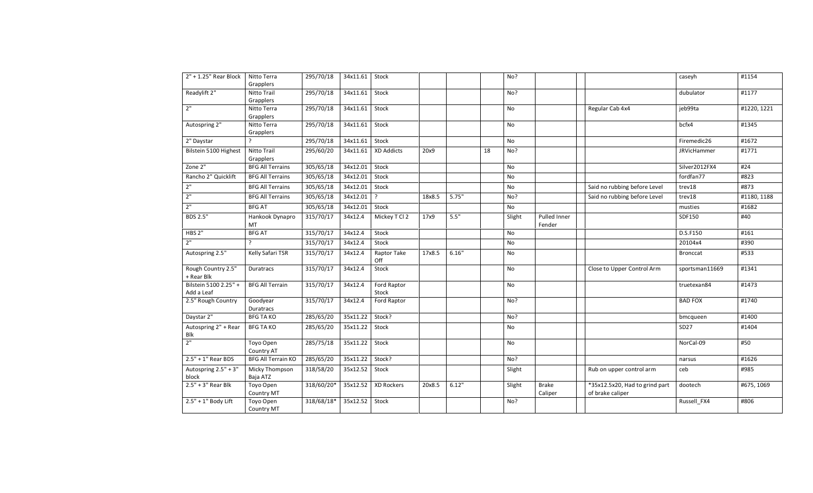| 2" + 1.25" Rear Block               | Nitto Terra<br>Grapplers       | 295/70/18  | 34x11.61 | Stock                |        |       |    | No?    |                         |                                                    | caseyh             | #1154       |
|-------------------------------------|--------------------------------|------------|----------|----------------------|--------|-------|----|--------|-------------------------|----------------------------------------------------|--------------------|-------------|
| Readylift 2"                        | Nitto Trail<br>Grapplers       | 295/70/18  | 34x11.61 | Stock                |        |       |    | No?    |                         |                                                    | dubulator          | #1177       |
| 2"                                  | Nitto Terra<br>Grapplers       | 295/70/18  | 34x11.61 | Stock                |        |       |    | No     |                         | Regular Cab 4x4                                    | jeb99ta            | #1220, 1221 |
| Autospring 2"                       | Nitto Terra<br>Grapplers       | 295/70/18  | 34x11.61 | Stock                |        |       |    | No     |                         |                                                    | bcfx4              | #1345       |
| 2" Daystar                          | 2                              | 295/70/18  | 34x11.61 | Stock                |        |       |    | No     |                         |                                                    | Firemedic26        | #1672       |
| Bilstein 5100 Highest               | Nitto Trail<br>Grapplers       | 295/60/20  | 34x11.61 | <b>XD Addicts</b>    | 20x9   |       | 18 | No?    |                         |                                                    | <b>JRVicHammer</b> | #1771       |
| Zone $2n$                           | <b>BFG All Terrains</b>        | 305/65/18  | 34x12.01 | Stock                |        |       |    | No     |                         |                                                    | Silver2012FX4      | #24         |
| Rancho 2" Quicklift                 | <b>BFG All Terrains</b>        | 305/65/18  | 34x12.01 | Stock                |        |       |    | No     |                         |                                                    | fordfan77          | #823        |
| 2"                                  | <b>BFG All Terrains</b>        | 305/65/18  | 34x12.01 | Stock                |        |       |    | No     |                         | Said no rubbing before Level                       | trev18             | #873        |
| 2"                                  | <b>BFG All Terrains</b>        | 305/65/18  | 34x12.01 | ?                    | 18x8.5 | 5.75" |    | No?    |                         | Said no rubbing before Level                       | trev18             | #1180, 1188 |
| 2"                                  | <b>BFG AT</b>                  | 305/65/18  | 34x12.01 | Stock                |        |       |    | No     |                         |                                                    | musties            | #1682       |
| <b>BDS 2.5"</b>                     | Hankook Dynapro<br>MT          | 315/70/17  | 34x12.4  | Mickey T Cl 2        | 17x9   | 5.5"  |    | Slight | Pulled Inner<br>Fender  |                                                    | SDF150             | #40         |
| HBS <sub>2"</sub>                   | <b>BFG AT</b>                  | 315/70/17  | 34x12.4  | Stock                |        |       |    | No     |                         |                                                    | D.S.F150           | #161        |
| 2"                                  | $\overline{ }$                 | 315/70/17  | 34x12.4  | Stock                |        |       |    | No     |                         |                                                    | 20104x4            | #390        |
| Autospring 2.5"                     | Kelly Safari TSR               | 315/70/17  | 34x12.4  | Raptor Take<br>Off   | 17x8.5 | 6.16" |    | No     |                         |                                                    | <b>Bronccat</b>    | #533        |
| Rough Country 2.5"<br>+ Rear Blk    | Duratracs                      | 315/70/17  | 34x12.4  | Stock                |        |       |    | No     |                         | Close to Upper Control Arm                         | sportsman11669     | #1341       |
| Bilstein 5100 2.25" +<br>Add a Leaf | <b>BFG All Terrain</b>         | 315/70/17  | 34x12.4  | Ford Raptor<br>Stock |        |       |    | No     |                         |                                                    | truetexan84        | #1473       |
| 2.5" Rough Country                  | Goodyear<br>Duratracs          | 315/70/17  | 34x12.4  | Ford Raptor          |        |       |    | No?    |                         |                                                    | <b>BAD FOX</b>     | #1740       |
| Daystar 2"                          | <b>BFG TA KO</b>               | 285/65/20  | 35x11.22 | Stock?               |        |       |    | No?    |                         |                                                    | bmcqueen           | #1400       |
| Autospring 2" + Rear<br>Blk         | <b>BFG TA KO</b>               | 285/65/20  | 35x11.22 | Stock                |        |       |    | No     |                         |                                                    | SD27               | #1404       |
| 2"                                  | Toyo Open<br>Country AT        | 285/75/18  | 35x11.22 | Stock                |        |       |    | No     |                         |                                                    | NorCal-09          | #50         |
| $2.5" + 1"$ Rear BDS                | <b>BFG All Terrain KO</b>      | 285/65/20  | 35x11.22 | Stock?               |        |       |    | No?    |                         |                                                    | narsus             | #1626       |
| Autospring 2.5" + 3"<br>block       | Micky Thompson<br>Baja ATZ     | 318/58/20  | 35x12.52 | Stock                |        |       |    | Slight |                         | Rub on upper control arm                           | ceb                | #985        |
| $2.5" + 3"$ Rear Blk                | Toyo Open<br>Country MT        | 318/60/20* | 35x12.52 | XD Rockers           | 20x8.5 | 6.12" |    | Slight | <b>Brake</b><br>Caliper | *35x12.5x20, Had to grind part<br>of brake caliper | dootech            | #675, 1069  |
| $2.5" + 1"$ Body Lift               | Toyo Open<br><b>Country MT</b> | 318/68/18* | 35x12.52 | Stock                |        |       |    | No?    |                         |                                                    | Russell FX4        | #806        |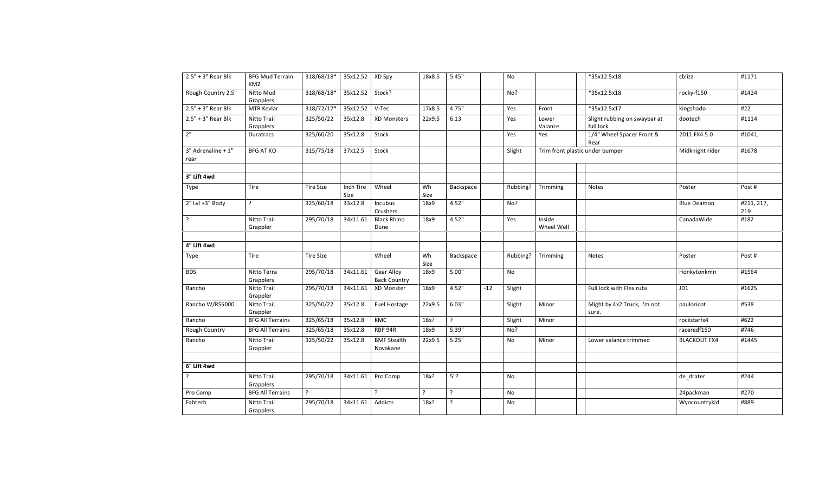| $2.5" + 3"$ Rear Blk       | <b>BFG Mud Terrain</b><br>KM <sub>2</sub> | 318/68/18*       | 35x12.52 XD Spy   |                                          | 18x8.5     | 5.45"          |       | No        |                      | *35x12.5x18                               | cblizz              | #1171             |
|----------------------------|-------------------------------------------|------------------|-------------------|------------------------------------------|------------|----------------|-------|-----------|----------------------|-------------------------------------------|---------------------|-------------------|
| Rough Country 2.5"         | Nitto Mud<br>Grapplers                    | 318/68/18*       | 35x12.52          | Stock?                                   |            |                |       | No?       |                      | *35x12.5x18                               | rocky-f150          | #1424             |
| $2.5" + 3"$ Rear Blk       | MTR Kevlar                                | 318/72/17*       | 35x12.52          | V-Tec                                    | 17x8.5     | 4.75"          |       | Yes       | Front                | *35x12.5x17                               | kingshado           | #22               |
| $2.5" + 3"$ Rear Blk       | Nitto Trail<br>Grapplers                  | 325/50/22        | 35x12.8           | <b>XD Monsters</b>                       | 22x9.5     | 6.13           |       | Yes       | Lower<br>Valance     | Slight rubbing on swaybar at<br>full lock | dootech             | #1114             |
| 2"                         | Duratracs                                 | 325/60/20        | 35x12.8           | Stock                                    |            |                |       | Yes       | Yes                  | 1/4" Wheel Spacer Front &<br>Rear         | 2011 FX4 5.0        | #1041,            |
| 3" Adrenaline + 1"<br>rear | <b>BFG AT KO</b>                          | 315/75/18        | 37x12.5           | Stock                                    |            |                |       | Slight    |                      | Trim front plastic under bumper           | Midknight rider     | #1678             |
| 3" Lift 4wd                |                                           |                  |                   |                                          |            |                |       |           |                      |                                           |                     |                   |
| Type                       | Tire                                      | <b>Tire Size</b> | Inch Tire<br>Size | Wheel                                    | Wh<br>Size | Backspace      |       | Rubbing?  | Trimming             | Notes                                     | Poster              | Post#             |
| 2" Lvl +3" Body            | $\cdot$                                   | 325/60/18        | 33x12.8           | Incubus<br>Crushers                      | 18x9       | 4.52"          |       | No?       |                      |                                           | <b>Blue Deamon</b>  | #211, 217,<br>219 |
| $\cdot$                    | Nitto Trail<br>Grappler                   | 295/70/18        | 34x11.61          | <b>Black Rhino</b><br>Dune               | 18x9       | 4.52"          |       | Yes       | Inside<br>Wheel Well |                                           | CanadaWide          | #182              |
| 4" Lift 4wd                |                                           |                  |                   |                                          |            |                |       |           |                      |                                           |                     |                   |
| Type                       | Tire                                      | <b>Tire Size</b> |                   | Wheel                                    | Wh<br>Size | Backspace      |       | Rubbing?  | Trimming             | Notes                                     | Poster              | Post#             |
| <b>BDS</b>                 | Nitto Terra<br>Grapplers                  | 295/70/18        | 34x11.61          | <b>Gear Alloy</b><br><b>Back Country</b> | 18x9       | 5.00"          |       | <b>No</b> |                      |                                           | Honkytonkmn         | #1564             |
| Rancho                     | Nitto Trail<br>Grappler                   | 295/70/18        | 34x11.61          | XD Monster                               | 18x9       | 4.52"          | $-12$ | Slight    |                      | Full lock with Flex rubs                  | JD1                 | #1625             |
| Rancho W/RS5000            | Nitto Trail<br>Grappler                   | 325/50/22        | 35x12.8           | Fuel Hostage                             | 22x9.5     | 6.03"          |       | Slight    | Minor                | Might by 4x2 Truck, I'm not<br>sure.      | pauloricot          | #538              |
| Rancho                     | <b>BFG All Terrains</b>                   | 325/65/18        | 35x12.8           | KMC                                      | 18x?       | $\overline{?}$ |       | Slight    | Minor                |                                           | rockstarfx4         | #622              |
| Rough Country              | <b>BFG All Terrains</b>                   | 325/65/18        | 35x12.8           | RBP 94R                                  | 18x9       | 5.39"          |       | No?       |                      |                                           | raceredf150         | #746              |
| Rancho                     | Nitto Trail<br>Grappler                   | 325/50/22        | 35x12.8           | <b>BMF Stealth</b><br>Novakane           | 22x9.5     | 5.25"          |       | No        | Minor                | Lower valance trimmed                     | <b>BLACKOUT FX4</b> | #1445             |
|                            |                                           |                  |                   |                                          |            |                |       |           |                      |                                           |                     |                   |
| 6" Lift 4wd                |                                           |                  |                   |                                          |            |                |       |           |                      |                                           |                     |                   |
|                            | Nitto Trail<br>Grapplers                  | 295/70/18        | 34x11.61          | Pro Comp                                 | 18x?       | 5"?            |       | No        |                      |                                           | de_drater           | #244              |
| Pro Comp                   | <b>BFG All Terrains</b>                   | ?                |                   | $\overline{\phantom{a}}$                 | ?          | ?              |       | No        |                      |                                           | 24packman           | #270              |
| Fabtech                    | Nitto Trail<br>Grapplers                  | 295/70/18        | 34x11.61          | Addicts                                  | 18x?       | ?              |       | No        |                      |                                           | Wyocountrykid       | #889              |